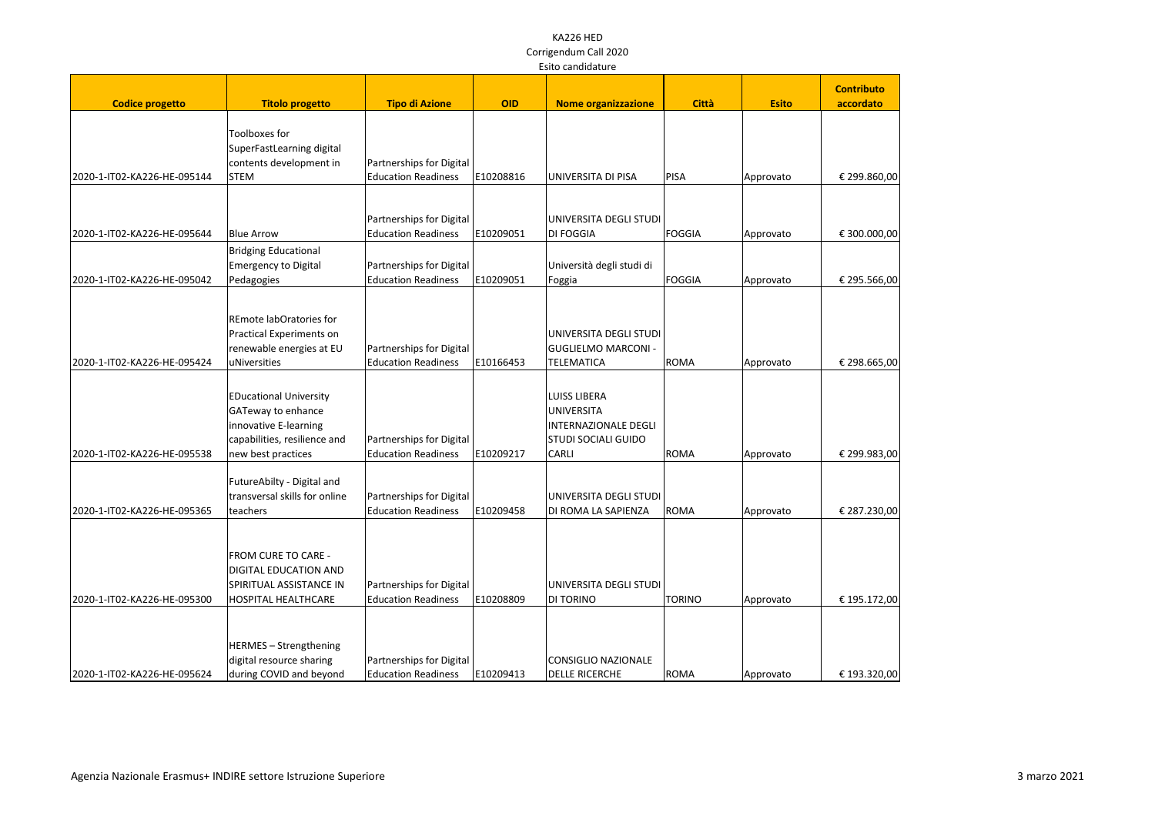|                             | Laitu canuludturt                                          |                            |            |                             |               |              |                   |  |
|-----------------------------|------------------------------------------------------------|----------------------------|------------|-----------------------------|---------------|--------------|-------------------|--|
|                             |                                                            |                            |            |                             |               |              | <b>Contributo</b> |  |
| <b>Codice progetto</b>      | <b>Titolo progetto</b>                                     | <b>Tipo di Azione</b>      | <b>OID</b> | <b>Nome organizzazione</b>  | <b>Città</b>  | <b>Esito</b> | accordato         |  |
|                             |                                                            |                            |            |                             |               |              |                   |  |
|                             | Toolboxes for                                              |                            |            |                             |               |              |                   |  |
|                             | SuperFastLearning digital                                  |                            |            |                             |               |              |                   |  |
|                             | contents development in                                    | Partnerships for Digital   |            |                             |               |              |                   |  |
| 2020-1-IT02-KA226-HE-095144 | <b>STEM</b>                                                | <b>Education Readiness</b> | E10208816  | UNIVERSITA DI PISA          | <b>PISA</b>   | Approvato    | € 299.860,00      |  |
|                             |                                                            | Partnerships for Digital   |            | UNIVERSITA DEGLI STUDI      |               |              |                   |  |
| 2020-1-IT02-KA226-HE-095644 | <b>Blue Arrow</b>                                          | <b>Education Readiness</b> | E10209051  | <b>DI FOGGIA</b>            | <b>FOGGIA</b> | Approvato    | € 300.000,00      |  |
|                             |                                                            |                            |            |                             |               |              |                   |  |
|                             | <b>Bridging Educational</b><br><b>Emergency to Digital</b> | Partnerships for Digital   |            | Università degli studi di   |               |              |                   |  |
| 2020-1-IT02-KA226-HE-095042 | Pedagogies                                                 | <b>Education Readiness</b> | E10209051  |                             | <b>FOGGIA</b> |              | € 295.566,00      |  |
|                             |                                                            |                            |            | Foggia                      |               | Approvato    |                   |  |
|                             | REmote labOratories for                                    |                            |            |                             |               |              |                   |  |
|                             | Practical Experiments on                                   |                            |            | UNIVERSITA DEGLI STUDI      |               |              |                   |  |
|                             | renewable energies at EU                                   | Partnerships for Digital   |            | <b>GUGLIELMO MARCONI -</b>  |               |              |                   |  |
| 2020-1-IT02-KA226-HE-095424 | uNiversities                                               | <b>Education Readiness</b> | E10166453  | <b>TELEMATICA</b>           | <b>ROMA</b>   | Approvato    | € 298.665,00      |  |
|                             |                                                            |                            |            |                             |               |              |                   |  |
|                             | <b>EDucational University</b>                              |                            |            | <b>LUISS LIBERA</b>         |               |              |                   |  |
|                             | GATeway to enhance                                         |                            |            | <b>UNIVERSITA</b>           |               |              |                   |  |
|                             | innovative E-learning                                      |                            |            | <b>INTERNAZIONALE DEGLI</b> |               |              |                   |  |
|                             | capabilities, resilience and                               | Partnerships for Digital   |            | <b>STUDI SOCIALI GUIDO</b>  |               |              |                   |  |
| 2020-1-IT02-KA226-HE-095538 | new best practices                                         | <b>Education Readiness</b> | E10209217  | <b>CARLI</b>                | <b>ROMA</b>   | Approvato    | € 299.983,00      |  |
|                             | FutureAbilty - Digital and                                 |                            |            |                             |               |              |                   |  |
|                             | transversal skills for online                              | Partnerships for Digital   |            | UNIVERSITA DEGLI STUDI      |               |              |                   |  |
| 2020-1-IT02-KA226-HE-095365 | teachers                                                   | <b>Education Readiness</b> | E10209458  | DI ROMA LA SAPIENZA         | <b>ROMA</b>   | Approvato    | € 287.230,00      |  |
|                             |                                                            |                            |            |                             |               |              |                   |  |
|                             | FROM CURE TO CARE -                                        |                            |            |                             |               |              |                   |  |
|                             | <b>DIGITAL EDUCATION AND</b>                               |                            |            |                             |               |              |                   |  |
|                             | SPIRITUAL ASSISTANCE IN                                    | Partnerships for Digital   |            | UNIVERSITA DEGLI STUDI      |               |              |                   |  |
| 2020-1-IT02-KA226-HE-095300 | <b>HOSPITAL HEALTHCARE</b>                                 | <b>Education Readiness</b> | E10208809  | <b>DI TORINO</b>            | <b>TORINO</b> | Approvato    | € 195.172,00      |  |
|                             |                                                            |                            |            |                             |               |              |                   |  |
|                             | HERMES - Strengthening                                     |                            |            |                             |               |              |                   |  |
|                             | digital resource sharing                                   | Partnerships for Digital   |            | CONSIGLIO NAZIONALE         |               |              |                   |  |
| 2020-1-IT02-KA226-HE-095624 | during COVID and beyond                                    | <b>Education Readiness</b> | E10209413  | <b>DELLE RICERCHE</b>       | <b>ROMA</b>   | Approvato    | € 193.320,00      |  |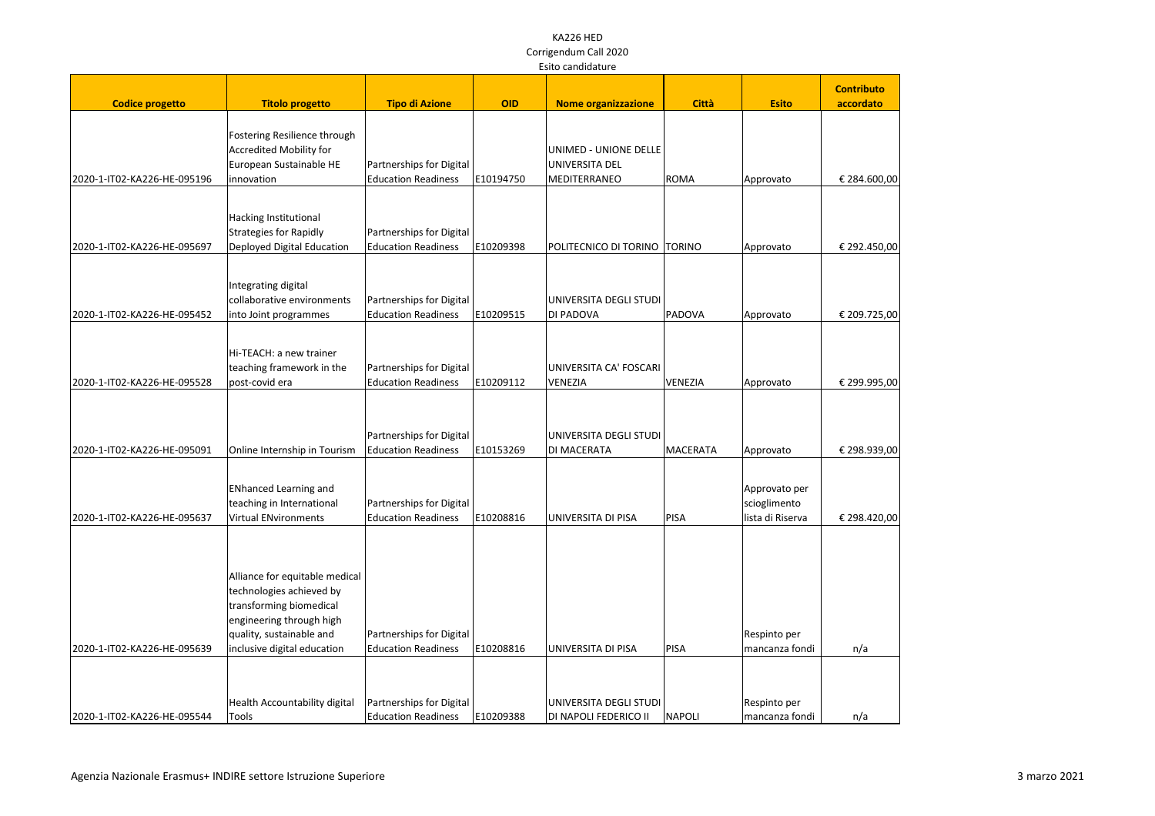|                             |                                                                                                                                                                              |                                                        |            |                                                         |               |                                                   | <b>Contributo</b> |
|-----------------------------|------------------------------------------------------------------------------------------------------------------------------------------------------------------------------|--------------------------------------------------------|------------|---------------------------------------------------------|---------------|---------------------------------------------------|-------------------|
| <b>Codice progetto</b>      | <b>Titolo progetto</b>                                                                                                                                                       | <b>Tipo di Azione</b>                                  | <b>OID</b> | <b>Nome organizzazione</b>                              | <b>Città</b>  | <b>Esito</b>                                      | accordato         |
| 2020-1-IT02-KA226-HE-095196 | Fostering Resilience through<br><b>Accredited Mobility for</b><br>European Sustainable HE<br>innovation                                                                      | Partnerships for Digital<br><b>Education Readiness</b> | E10194750  | UNIMED - UNIONE DELLE<br>UNIVERSITA DEL<br>MEDITERRANEO | ROMA          | Approvato                                         | € 284.600,00      |
| 2020-1-IT02-KA226-HE-095697 | Hacking Institutional<br><b>Strategies for Rapidly</b><br>Deployed Digital Education                                                                                         | Partnerships for Digital<br><b>Education Readiness</b> | E10209398  | POLITECNICO DI TORINO                                   | <b>TORINO</b> | Approvato                                         | € 292.450,00      |
| 2020-1-IT02-KA226-HE-095452 | Integrating digital<br>collaborative environments<br>into Joint programmes                                                                                                   | Partnerships for Digital<br><b>Education Readiness</b> | E10209515  | UNIVERSITA DEGLI STUDI<br>DI PADOVA                     | PADOVA        | Approvato                                         | € 209.725,00      |
| 2020-1-IT02-KA226-HE-095528 | Hi-TEACH: a new trainer<br>teaching framework in the<br>post-covid era                                                                                                       | Partnerships for Digital<br><b>Education Readiness</b> | E10209112  | UNIVERSITA CA' FOSCARI<br>VENEZIA                       | VENEZIA       | Approvato                                         | € 299.995,00      |
| 2020-1-IT02-KA226-HE-095091 | Online Internship in Tourism                                                                                                                                                 | Partnerships for Digital<br><b>Education Readiness</b> | E10153269  | UNIVERSITA DEGLI STUDI<br>DI MACERATA                   | MACERATA      | Approvato                                         | € 298.939,00      |
| 2020-1-IT02-KA226-HE-095637 | <b>ENhanced Learning and</b><br>teaching in International<br><b>Virtual ENvironments</b>                                                                                     | Partnerships for Digital<br><b>Education Readiness</b> | E10208816  | UNIVERSITA DI PISA                                      | PISA          | Approvato per<br>scioglimento<br>lista di Riserva | € 298.420,00      |
| 2020-1-IT02-KA226-HE-095639 | Alliance for equitable medical<br>technologies achieved by<br>transforming biomedical<br>engineering through high<br>quality, sustainable and<br>inclusive digital education | Partnerships for Digital<br><b>Education Readiness</b> | E10208816  | UNIVERSITA DI PISA                                      | PISA          | Respinto per<br>mancanza fondi                    | n/a               |
| 2020-1-IT02-KA226-HE-095544 | Health Accountability digital<br>Tools                                                                                                                                       | Partnerships for Digital<br><b>Education Readiness</b> | E10209388  | UNIVERSITA DEGLI STUDI<br>DI NAPOLI FEDERICO II         | NAPOLI        | Respinto per<br>mancanza fondi                    | n/a               |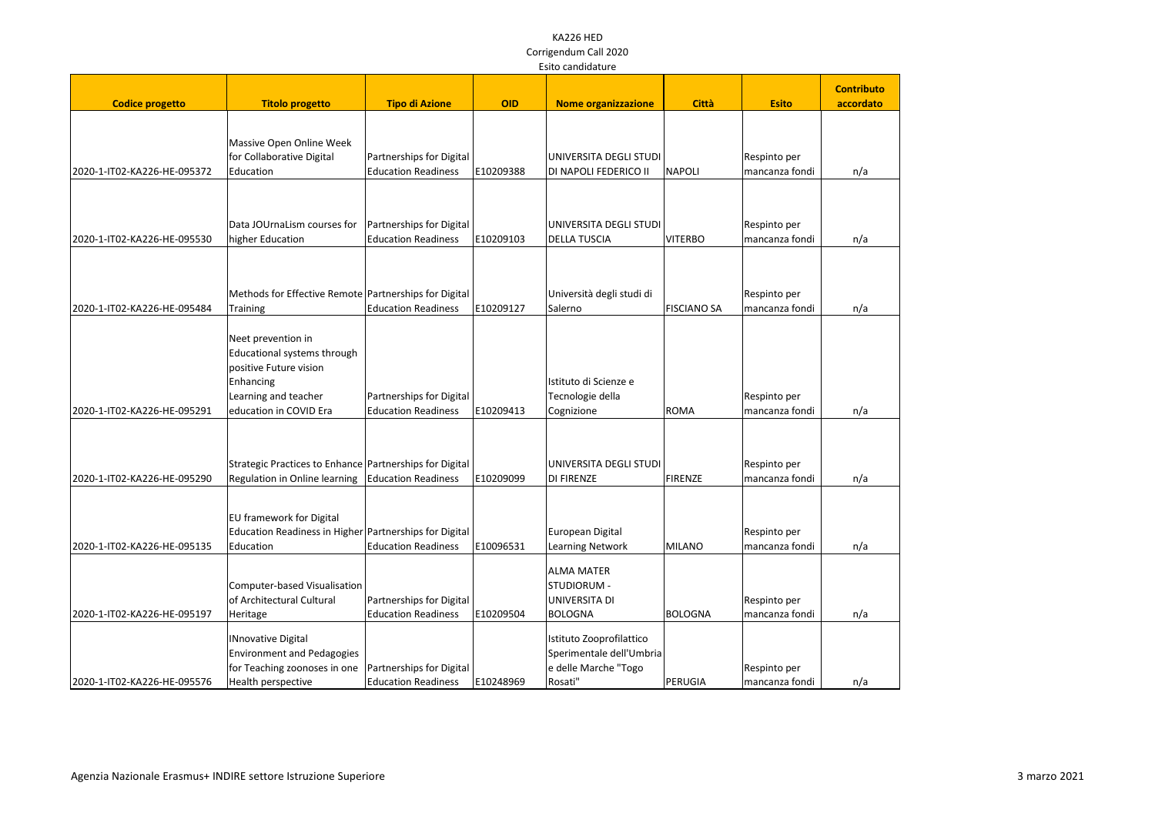|                             | LSILU Cariuluature                                      |                                                        |            |                                                 |                    |                                |                   |  |
|-----------------------------|---------------------------------------------------------|--------------------------------------------------------|------------|-------------------------------------------------|--------------------|--------------------------------|-------------------|--|
|                             |                                                         |                                                        |            |                                                 |                    |                                | <b>Contributo</b> |  |
| <b>Codice progetto</b>      | <b>Titolo progetto</b>                                  | <b>Tipo di Azione</b>                                  | <b>OID</b> | <b>Nome organizzazione</b>                      | <b>Città</b>       | <b>Esito</b>                   | accordato         |  |
|                             |                                                         |                                                        |            |                                                 |                    |                                |                   |  |
|                             |                                                         |                                                        |            |                                                 |                    |                                |                   |  |
|                             | Massive Open Online Week                                |                                                        |            |                                                 |                    |                                |                   |  |
| 2020-1-IT02-KA226-HE-095372 | for Collaborative Digital<br>Education                  | Partnerships for Digital<br><b>Education Readiness</b> | E10209388  | UNIVERSITA DEGLI STUDI<br>DI NAPOLI FEDERICO II | <b>NAPOLI</b>      | Respinto per<br>mancanza fondi |                   |  |
|                             |                                                         |                                                        |            |                                                 |                    |                                | n/a               |  |
|                             |                                                         |                                                        |            |                                                 |                    |                                |                   |  |
|                             |                                                         |                                                        |            |                                                 |                    |                                |                   |  |
|                             | Data JOUrnaLism courses for                             | Partnerships for Digital                               |            | UNIVERSITA DEGLI STUDI                          |                    | Respinto per                   |                   |  |
| 2020-1-IT02-KA226-HE-095530 | higher Education                                        | <b>Education Readiness</b>                             | E10209103  | <b>DELLA TUSCIA</b>                             | <b>VITERBO</b>     | mancanza fondi                 | n/a               |  |
|                             |                                                         |                                                        |            |                                                 |                    |                                |                   |  |
|                             |                                                         |                                                        |            |                                                 |                    |                                |                   |  |
|                             |                                                         |                                                        |            |                                                 |                    |                                |                   |  |
|                             | Methods for Effective Remote Partnerships for Digital   |                                                        |            | Università degli studi di                       |                    | Respinto per                   |                   |  |
| 2020-1-IT02-KA226-HE-095484 | Training                                                | <b>Education Readiness</b>                             | E10209127  | Salerno                                         | <b>FISCIANO SA</b> | mancanza fondi                 | n/a               |  |
|                             |                                                         |                                                        |            |                                                 |                    |                                |                   |  |
|                             | Neet prevention in                                      |                                                        |            |                                                 |                    |                                |                   |  |
|                             | Educational systems through                             |                                                        |            |                                                 |                    |                                |                   |  |
|                             | positive Future vision                                  |                                                        |            |                                                 |                    |                                |                   |  |
|                             | Enhancing                                               |                                                        |            | Istituto di Scienze e                           |                    |                                |                   |  |
|                             | Learning and teacher                                    | Partnerships for Digital                               |            | Tecnologie della                                |                    | Respinto per                   |                   |  |
| 2020-1-IT02-KA226-HE-095291 | education in COVID Era                                  | <b>Education Readiness</b>                             | E10209413  | Cognizione                                      | <b>ROMA</b>        | mancanza fondi                 | n/a               |  |
|                             |                                                         |                                                        |            |                                                 |                    |                                |                   |  |
|                             |                                                         |                                                        |            |                                                 |                    |                                |                   |  |
|                             | Strategic Practices to Enhance Partnerships for Digital |                                                        |            | UNIVERSITA DEGLI STUDI                          |                    | Respinto per                   |                   |  |
| 2020-1-IT02-KA226-HE-095290 | Regulation in Online learning   Education Readiness     |                                                        | E10209099  | DI FIRENZE                                      | FIRENZE            | mancanza fondi                 | n/a               |  |
|                             |                                                         |                                                        |            |                                                 |                    |                                |                   |  |
|                             |                                                         |                                                        |            |                                                 |                    |                                |                   |  |
|                             | EU framework for Digital                                |                                                        |            |                                                 |                    |                                |                   |  |
|                             | Education Readiness in Higher Partnerships for Digital  |                                                        |            | European Digital                                |                    | Respinto per                   |                   |  |
| 2020-1-IT02-KA226-HE-095135 | Education                                               | <b>Education Readiness</b>                             | E10096531  | <b>Learning Network</b>                         | MILANO             | mancanza fondi                 | n/a               |  |
|                             |                                                         |                                                        |            | <b>ALMA MATER</b>                               |                    |                                |                   |  |
|                             | Computer-based Visualisation                            |                                                        |            | STUDIORUM -                                     |                    |                                |                   |  |
|                             | of Architectural Cultural                               | Partnerships for Digital                               |            | UNIVERSITA DI                                   |                    | Respinto per                   |                   |  |
| 2020-1-IT02-KA226-HE-095197 | Heritage                                                | <b>Education Readiness</b>                             | E10209504  | BOLOGNA                                         | BOLOGNA            | mancanza fondi                 | n/a               |  |
|                             |                                                         |                                                        |            |                                                 |                    |                                |                   |  |
|                             | <b>INnovative Digital</b>                               |                                                        |            | Istituto Zooprofilattico                        |                    |                                |                   |  |
|                             | <b>Environment and Pedagogies</b>                       |                                                        |            | Sperimentale dell'Umbria                        |                    |                                |                   |  |
|                             | for Teaching zoonoses in one                            | Partnerships for Digital                               |            | e delle Marche "Togo                            |                    | Respinto per                   |                   |  |
| 2020-1-IT02-KA226-HE-095576 | Health perspective                                      | <b>Education Readiness</b>                             | E10248969  | Rosati"                                         | PERUGIA            | mancanza fondi                 | n/a               |  |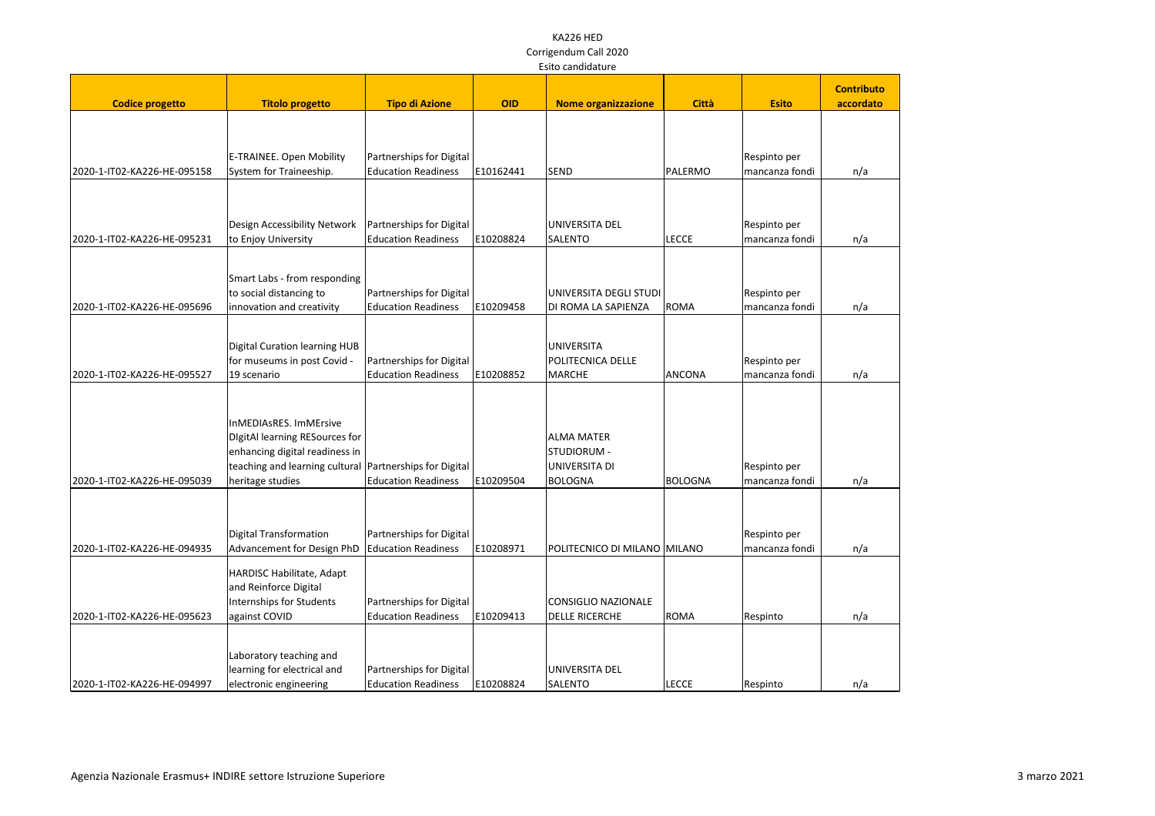|                             | Laitu canuluaturc                                         |                            |            |                              |              |                |                   |
|-----------------------------|-----------------------------------------------------------|----------------------------|------------|------------------------------|--------------|----------------|-------------------|
|                             |                                                           |                            |            |                              |              |                | <b>Contributo</b> |
| <b>Codice progetto</b>      | <b>Titolo progetto</b>                                    | <b>Tipo di Azione</b>      | <b>OID</b> | <b>Nome organizzazione</b>   | <b>Città</b> | <b>Esito</b>   | accordato         |
|                             |                                                           |                            |            |                              |              |                |                   |
|                             |                                                           |                            |            |                              |              |                |                   |
|                             |                                                           |                            |            |                              |              |                |                   |
|                             | E-TRAINEE. Open Mobility                                  | Partnerships for Digital   |            |                              |              | Respinto per   |                   |
| 2020-1-IT02-KA226-HE-095158 | System for Traineeship.                                   | <b>Education Readiness</b> | E10162441  | <b>SEND</b>                  | PALERMO      | mancanza fondi | n/a               |
|                             |                                                           |                            |            |                              |              |                |                   |
|                             |                                                           |                            |            |                              |              |                |                   |
|                             | Design Accessibility Network                              | Partnerships for Digital   |            | UNIVERSITA DEL               |              | Respinto per   |                   |
| 2020-1-IT02-KA226-HE-095231 | to Enjoy University                                       | <b>Education Readiness</b> | E10208824  | <b>SALENTO</b>               | <b>LECCE</b> | mancanza fondi | n/a               |
|                             |                                                           |                            |            |                              |              |                |                   |
|                             |                                                           |                            |            |                              |              |                |                   |
|                             | Smart Labs - from responding                              |                            |            |                              |              |                |                   |
|                             | to social distancing to                                   | Partnerships for Digital   |            | UNIVERSITA DEGLI STUDI       |              | Respinto per   |                   |
| 2020-1-IT02-KA226-HE-095696 | innovation and creativity                                 | <b>Education Readiness</b> | E10209458  | DI ROMA LA SAPIENZA          | <b>ROMA</b>  | mancanza fondi | n/a               |
|                             |                                                           |                            |            |                              |              |                |                   |
|                             | <b>Digital Curation learning HUB</b>                      |                            |            | <b>UNIVERSITA</b>            |              |                |                   |
|                             | for museums in post Covid -                               | Partnerships for Digital   |            | POLITECNICA DELLE            |              | Respinto per   |                   |
| 2020-1-IT02-KA226-HE-095527 | 19 scenario                                               | <b>Education Readiness</b> | E10208852  | <b>MARCHE</b>                | ANCONA       | mancanza fondi | n/a               |
|                             |                                                           |                            |            |                              |              |                |                   |
|                             |                                                           |                            |            |                              |              |                |                   |
|                             | InMEDIAsRES. ImMErsive                                    |                            |            |                              |              |                |                   |
|                             | DigitAl learning RESources for                            |                            |            | <b>ALMA MATER</b>            |              |                |                   |
|                             | enhancing digital readiness in                            |                            |            | STUDIORUM -                  |              |                |                   |
|                             | teaching and learning cultural   Partnerships for Digital |                            |            | UNIVERSITA DI                |              | Respinto per   |                   |
| 2020-1-IT02-KA226-HE-095039 | heritage studies                                          | <b>Education Readiness</b> | E10209504  | <b>BOLOGNA</b>               | BOLOGNA      | mancanza fondi | n/a               |
|                             |                                                           |                            |            |                              |              |                |                   |
|                             |                                                           |                            |            |                              |              |                |                   |
|                             |                                                           |                            |            |                              |              |                |                   |
|                             | Digital Transformation                                    | Partnerships for Digital   |            |                              |              | Respinto per   |                   |
| 2020-1-IT02-KA226-HE-094935 | Advancement for Design PhD                                | <b>Education Readiness</b> | E10208971  | POLITECNICO DI MILANO MILANO |              | mancanza fondi | n/a               |
|                             | HARDISC Habilitate, Adapt                                 |                            |            |                              |              |                |                   |
|                             | and Reinforce Digital                                     |                            |            |                              |              |                |                   |
|                             | Internships for Students                                  | Partnerships for Digital   |            | CONSIGLIO NAZIONALE          |              |                |                   |
| 2020-1-IT02-KA226-HE-095623 | against COVID                                             | <b>Education Readiness</b> | E10209413  | <b>DELLE RICERCHE</b>        | <b>ROMA</b>  | Respinto       | n/a               |
|                             |                                                           |                            |            |                              |              |                |                   |
|                             |                                                           |                            |            |                              |              |                |                   |
|                             | Laboratory teaching and                                   |                            |            |                              |              |                |                   |
|                             | learning for electrical and                               | Partnerships for Digital   |            | UNIVERSITA DEL               |              |                |                   |
| 2020-1-IT02-KA226-HE-094997 | electronic engineering                                    | <b>Education Readiness</b> | E10208824  | <b>SALENTO</b>               | <b>LECCE</b> | Respinto       | n/a               |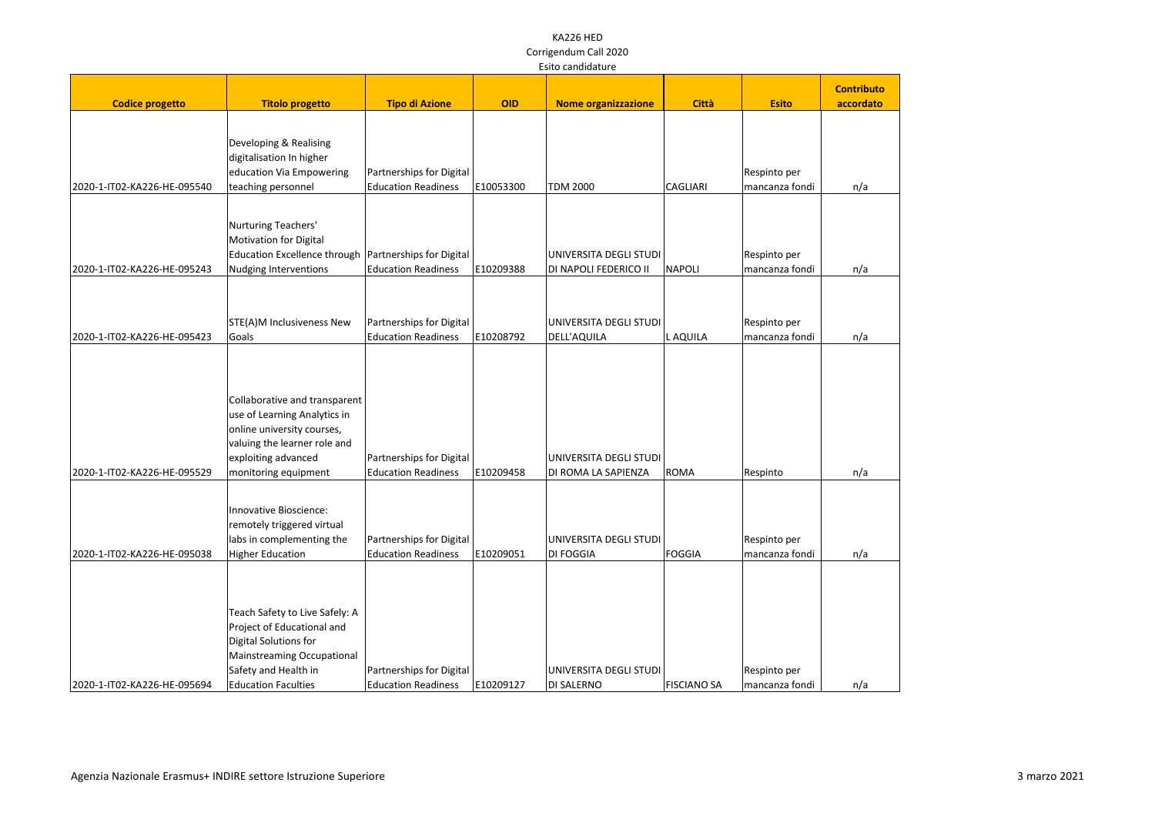|                             |                                                                                                                                                                                  |                                                        |            | Laitu cariuluaturc                              |                    |                                |                   |
|-----------------------------|----------------------------------------------------------------------------------------------------------------------------------------------------------------------------------|--------------------------------------------------------|------------|-------------------------------------------------|--------------------|--------------------------------|-------------------|
|                             |                                                                                                                                                                                  |                                                        |            |                                                 |                    |                                | <b>Contributo</b> |
| <b>Codice progetto</b>      | <b>Titolo progetto</b>                                                                                                                                                           | <b>Tipo di Azione</b>                                  | <b>OID</b> | <b>Nome organizzazione</b>                      | <b>Città</b>       | <b>Esito</b>                   | accordato         |
| 2020-1-IT02-KA226-HE-095540 | Developing & Realising<br>digitalisation In higher<br>education Via Empowering<br>teaching personnel                                                                             | Partnerships for Digital<br><b>Education Readiness</b> | E10053300  | <b>TDM 2000</b>                                 | <b>CAGLIARI</b>    | Respinto per<br>mancanza fondi | n/a               |
| 2020-1-IT02-KA226-HE-095243 | Nurturing Teachers'<br><b>Motivation for Digital</b><br>Education Excellence through   Partnerships for Digital<br>Nudging Interventions                                         | <b>Education Readiness</b>                             | E10209388  | UNIVERSITA DEGLI STUDI<br>DI NAPOLI FEDERICO II | NAPOLI             | Respinto per<br>mancanza fondi | n/a               |
|                             |                                                                                                                                                                                  |                                                        |            |                                                 |                    |                                |                   |
| 2020-1-IT02-KA226-HE-095423 | STE(A)M Inclusiveness New<br>Goals                                                                                                                                               | Partnerships for Digital<br><b>Education Readiness</b> | E10208792  | UNIVERSITA DEGLI STUDI<br>DELL'AQUILA           | L AQUILA           | Respinto per<br>mancanza fondi | n/a               |
| 2020-1-IT02-KA226-HE-095529 | Collaborative and transparent<br>use of Learning Analytics in<br>online university courses,<br>valuing the learner role and<br>exploiting advanced<br>monitoring equipment       | Partnerships for Digital<br><b>Education Readiness</b> | E10209458  | UNIVERSITA DEGLI STUDI<br>DI ROMA LA SAPIENZA   | <b>ROMA</b>        | Respinto                       | n/a               |
| 2020-1-IT02-KA226-HE-095038 | Innovative Bioscience:<br>remotely triggered virtual<br>labs in complementing the<br>Higher Education                                                                            | Partnerships for Digital<br><b>Education Readiness</b> | E10209051  | UNIVERSITA DEGLI STUDI<br><b>DI FOGGIA</b>      | <b>FOGGIA</b>      | Respinto per<br>mancanza fondi | n/a               |
| 2020-1-IT02-KA226-HE-095694 | Teach Safety to Live Safely: A<br>Project of Educational and<br>Digital Solutions for<br><b>Mainstreaming Occupational</b><br>Safety and Health in<br><b>Education Faculties</b> | Partnerships for Digital<br><b>Education Readiness</b> | E10209127  | UNIVERSITA DEGLI STUDI<br>DI SALERNO            | <b>FISCIANO SA</b> | Respinto per<br>mancanza fondi | n/a               |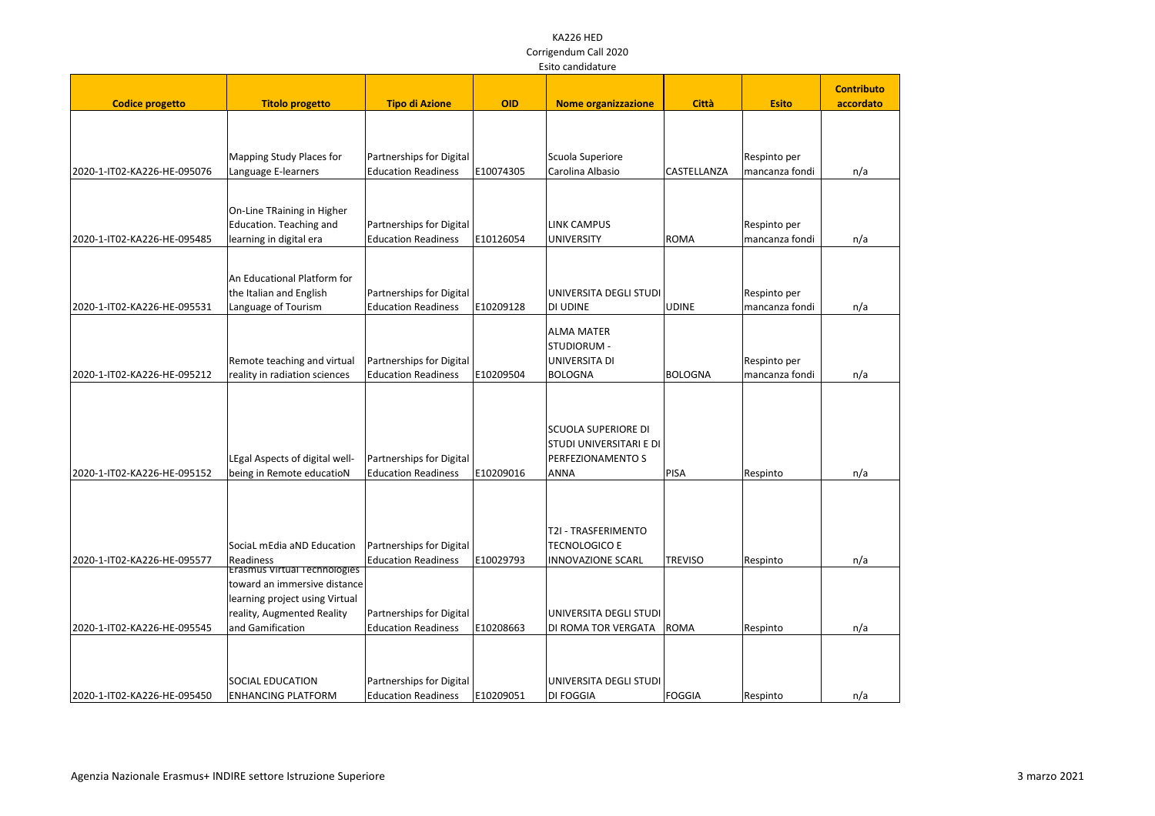|                             | Laitu canuluaturc                                                                                                                                       |                                                        |            |                                                                                           |                |                                |                   |
|-----------------------------|---------------------------------------------------------------------------------------------------------------------------------------------------------|--------------------------------------------------------|------------|-------------------------------------------------------------------------------------------|----------------|--------------------------------|-------------------|
|                             |                                                                                                                                                         |                                                        |            |                                                                                           |                |                                | <b>Contributo</b> |
| <b>Codice progetto</b>      | <b>Titolo progetto</b>                                                                                                                                  | <b>Tipo di Azione</b>                                  | <b>OID</b> | <b>Nome organizzazione</b>                                                                | <b>Città</b>   | <b>Esito</b>                   | accordato         |
|                             | Mapping Study Places for                                                                                                                                | Partnerships for Digital                               |            | Scuola Superiore                                                                          |                | Respinto per                   |                   |
| 2020-1-IT02-KA226-HE-095076 | Language E-learners                                                                                                                                     | <b>Education Readiness</b>                             | E10074305  | Carolina Albasio                                                                          | CASTELLANZA    | mancanza fondi                 | n/a               |
| 2020-1-IT02-KA226-HE-095485 | On-Line TRaining in Higher<br>Education. Teaching and<br>learning in digital era                                                                        | Partnerships for Digital<br><b>Education Readiness</b> | E10126054  | <b>LINK CAMPUS</b><br><b>UNIVERSITY</b>                                                   | ROMA           | Respinto per<br>mancanza fondi | n/a               |
| 2020-1-IT02-KA226-HE-095531 | An Educational Platform for<br>the Italian and English<br>Language of Tourism                                                                           | Partnerships for Digital<br><b>Education Readiness</b> | E10209128  | UNIVERSITA DEGLI STUDI<br><b>DI UDINE</b>                                                 | <b>UDINE</b>   | Respinto per<br>mancanza fondi | n/a               |
| 2020-1-IT02-KA226-HE-095212 | Remote teaching and virtual<br>reality in radiation sciences                                                                                            | Partnerships for Digital<br><b>Education Readiness</b> | E10209504  | <b>ALMA MATER</b><br>STUDIORUM -<br>UNIVERSITA DI<br><b>BOLOGNA</b>                       | BOLOGNA        | Respinto per<br>mancanza fondi | n/a               |
| 2020-1-IT02-KA226-HE-095152 | LEgal Aspects of digital well-<br>being in Remote educatioN                                                                                             | Partnerships for Digital<br><b>Education Readiness</b> | E10209016  | <b>SCUOLA SUPERIORE DI</b><br>STUDI UNIVERSITARI E DI<br>PERFEZIONAMENTO S<br><b>ANNA</b> | PISA           | Respinto                       | n/a               |
| 2020-1-IT02-KA226-HE-095577 | SociaL mEdia aND Education<br>Readiness                                                                                                                 | Partnerships for Digital<br><b>Education Readiness</b> | E10029793  | T2I - TRASFERIMENTO<br><b>TECNOLOGICO E</b><br>INNOVAZIONE SCARL                          | <b>TREVISO</b> | Respinto                       | n/a               |
| 2020-1-IT02-KA226-HE-095545 | <b>Erasmus Virtual Technologies</b><br>toward an immersive distance<br>learning project using Virtual<br>reality, Augmented Reality<br>and Gamification | Partnerships for Digital<br><b>Education Readiness</b> | E10208663  | UNIVERSITA DEGLI STUDI<br>DI ROMA TOR VERGATA                                             | ROMA           | Respinto                       | n/a               |
| 2020-1-IT02-KA226-HE-095450 | <b>SOCIAL EDUCATION</b><br><b>ENHANCING PLATFORM</b>                                                                                                    | Partnerships for Digital<br><b>Education Readiness</b> | E10209051  | UNIVERSITA DEGLI STUDI<br><b>DI FOGGIA</b>                                                | FOGGIA         | Respinto                       | n/a               |